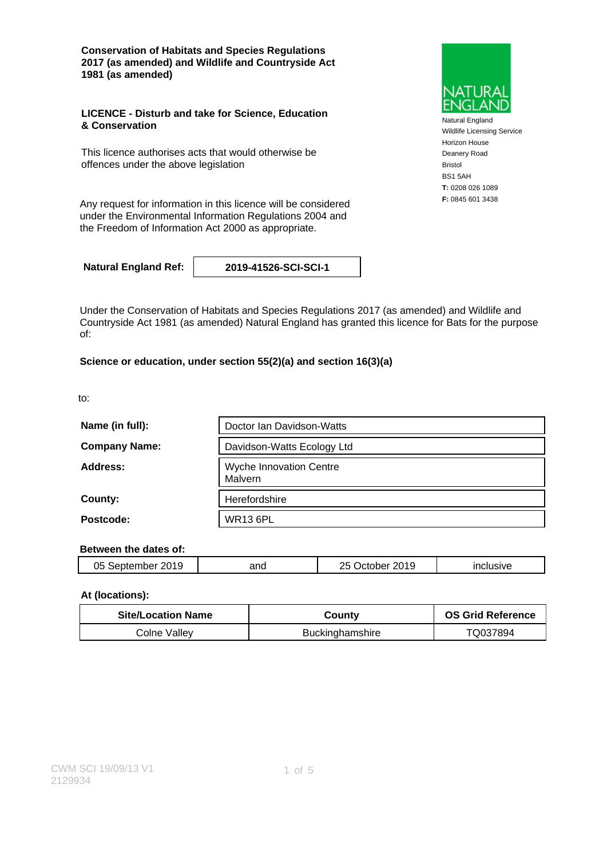**Conservation of Habitats and Species Regulations 2017 (as amended) and Wildlife and Countryside Act 1981 (as amended)**

### **LICENCE - Disturb and take for Science, Education & Conservation**

This licence authorises acts that would otherwise be offences under the above legislation

**F:** 0845 601 3438 Any request for information in this licence will be considered under the Environmental Information Regulations 2004 and the Freedom of Information Act 2000 as appropriate.

**Natural England Ref: 2019-41526-SCI-SCI-1**

Under the Conservation of Habitats and Species Regulations 2017 (as amended) and Wildlife and Countryside Act 1981 (as amended) Natural England has granted this licence for Bats for the purpose of:

### **Science or education, under section 55(2)(a) and section 16(3)(a)**

to:

| Name (in full):      | Doctor Ian Davidson-Watts          |
|----------------------|------------------------------------|
| <b>Company Name:</b> | Davidson-Watts Ecology Ltd         |
| Address:             | Wyche Innovation Centre<br>Malvern |
| County:              | Herefordshire                      |
| Postcode:            | <b>WR13 6PL</b>                    |

### **Between the dates of:**

| าร<br>nn 1 c<br>$\sim$<br>'≏ه.<br>Uw | and | 2019<br>~-<br>つに<br>- IC | . |
|--------------------------------------|-----|--------------------------|---|
|                                      |     |                          |   |

### **At (locations):**

| <b>Site/Location Name</b> | County          | <b>OS Grid Reference</b> |
|---------------------------|-----------------|--------------------------|
| Colne Valley              | Buckinghamshire | TQ037894                 |



Natural England Wildlife Licensing Service Horizon House Deanery Road Bristol BS1 5AH **T:** 0208 026 1089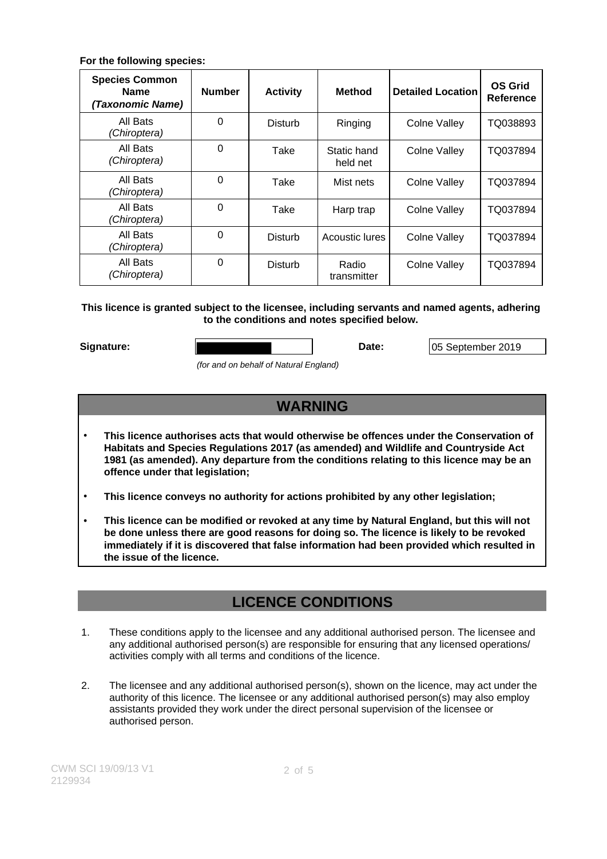### **For the following species:**

| <b>Species Common</b><br><b>Name</b><br>(Taxonomic Name) | <b>Number</b> | <b>Activity</b> | <b>Method</b>           | <b>Detailed Location</b> | <b>OS Grid</b><br><b>Reference</b> |
|----------------------------------------------------------|---------------|-----------------|-------------------------|--------------------------|------------------------------------|
| All Bats<br>(Chiroptera)                                 | $\Omega$      | Disturb         | Ringing                 | Colne Valley             | TQ038893                           |
| All Bats<br>(Chiroptera)                                 | $\Omega$      | Take            | Static hand<br>held net | <b>Colne Valley</b>      | TQ037894                           |
| All Bats<br>(Chiroptera)                                 | $\Omega$      | Take            | Mist nets               | Colne Valley             | TQ037894                           |
| All Bats<br>(Chiroptera)                                 | $\Omega$      | Take            | Harp trap               | Colne Valley             | TQ037894                           |
| All Bats<br>(Chiroptera)                                 | $\Omega$      | Disturb         | Acoustic lures          | Colne Valley             | TQ037894                           |
| All Bats<br>(Chiroptera)                                 | $\Omega$      | Disturb         | Radio<br>transmitter    | Colne Valley             | TQ037894                           |

### **This licence is granted subject to the licensee, including servants and named agents, adhering to the conditions and notes specified below.**

Signature: **Date: Date:** 05 September 2019

(for and on behalf of Natural England)

# **WARNING**

- **This licence authorises acts that would otherwise be offences under the Conservation of Habitats and Species Regulations 2017 (as amended) and Wildlife and Countryside Act 1981 (as amended). Any departure from the conditions relating to this licence may be an offence under that legislation;**
- **This licence conveys no authority for actions prohibited by any other legislation;**
- **This licence can be modified or revoked at any time by Natural England, but this will not be done unless there are good reasons for doing so. The licence is likely to be revoked immediately if it is discovered that false information had been provided which resulted in the issue of the licence.**

# **LICENCE CONDITIONS**

- 1. These conditions apply to the licensee and any additional authorised person. The licensee and any additional authorised person(s) are responsible for ensuring that any licensed operations/ activities comply with all terms and conditions of the licence.
- 2. The licensee and any additional authorised person(s), shown on the licence, may act under the authority of this licence. The licensee or any additional authorised person(s) may also employ assistants provided they work under the direct personal supervision of the licensee or authorised person.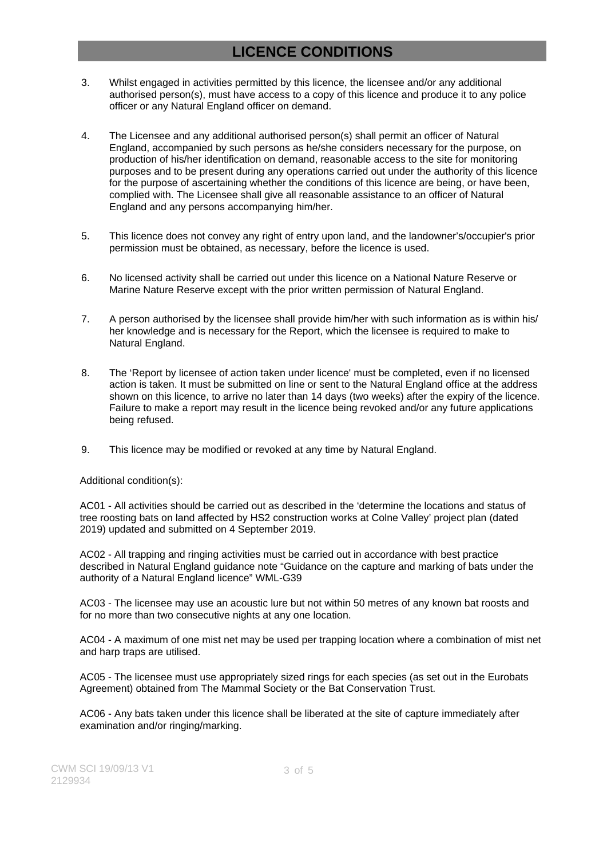# **LICENCE CONDITIONS**

- 3. Whilst engaged in activities permitted by this licence, the licensee and/or any additional authorised person(s), must have access to a copy of this licence and produce it to any police officer or any Natural England officer on demand.
- 4. The Licensee and any additional authorised person(s) shall permit an officer of Natural England, accompanied by such persons as he/she considers necessary for the purpose, on production of his/her identification on demand, reasonable access to the site for monitoring purposes and to be present during any operations carried out under the authority of this licence for the purpose of ascertaining whether the conditions of this licence are being, or have been, complied with. The Licensee shall give all reasonable assistance to an officer of Natural England and any persons accompanying him/her.
- 5. This licence does not convey any right of entry upon land, and the landowner's/occupier's prior permission must be obtained, as necessary, before the licence is used.
- 6. No licensed activity shall be carried out under this licence on a National Nature Reserve or Marine Nature Reserve except with the prior written permission of Natural England.
- 7. A person authorised by the licensee shall provide him/her with such information as is within his/ her knowledge and is necessary for the Report, which the licensee is required to make to Natural England.
- 8. The 'Report by licensee of action taken under licence' must be completed, even if no licensed action is taken. It must be submitted on line or sent to the Natural England office at the address shown on this licence, to arrive no later than 14 days (two weeks) after the expiry of the licence. Failure to make a report may result in the licence being revoked and/or any future applications being refused.
- 9. This licence may be modified or revoked at any time by Natural England.

Additional condition(s):

AC01 - All activities should be carried out as described in the 'determine the locations and status of tree roosting bats on land affected by HS2 construction works at Colne Valley' project plan (dated 2019) updated and submitted on 4 September 2019.

AC02 - All trapping and ringing activities must be carried out in accordance with best practice described in Natural England guidance note "Guidance on the capture and marking of bats under the authority of a Natural England licence" WML-G39

AC03 - The licensee may use an acoustic lure but not within 50 metres of any known bat roosts and for no more than two consecutive nights at any one location.

AC04 - A maximum of one mist net may be used per trapping location where a combination of mist net and harp traps are utilised.

AC05 - The licensee must use appropriately sized rings for each species (as set out in the Eurobats Agreement) obtained from The Mammal Society or the Bat Conservation Trust.

AC06 - Any bats taken under this licence shall be liberated at the site of capture immediately after examination and/or ringing/marking.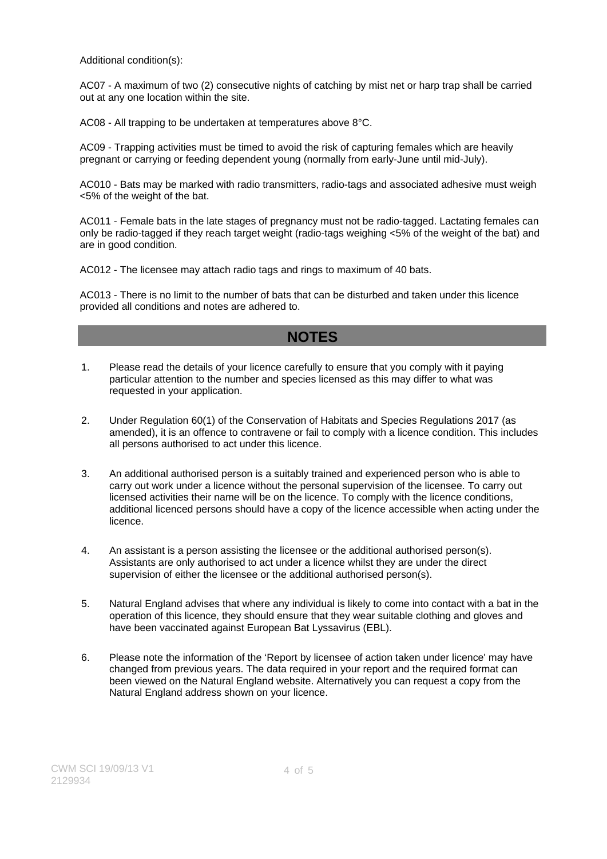Additional condition(s):

AC07 - A maximum of two (2) consecutive nights of catching by mist net or harp trap shall be carried out at any one location within the site.

AC08 - All trapping to be undertaken at temperatures above 8°C.

AC09 - Trapping activities must be timed to avoid the risk of capturing females which are heavily pregnant or carrying or feeding dependent young (normally from early-June until mid-July).

AC010 - Bats may be marked with radio transmitters, radio-tags and associated adhesive must weigh <5% of the weight of the bat.

AC011 - Female bats in the late stages of pregnancy must not be radio-tagged. Lactating females can only be radio-tagged if they reach target weight (radio-tags weighing <5% of the weight of the bat) and are in good condition.

AC012 - The licensee may attach radio tags and rings to maximum of 40 bats.

AC013 - There is no limit to the number of bats that can be disturbed and taken under this licence provided all conditions and notes are adhered to.

### **NOTES**

- 1. Please read the details of your licence carefully to ensure that you comply with it paying particular attention to the number and species licensed as this may differ to what was requested in your application.
- 2. Under Regulation 60(1) of the Conservation of Habitats and Species Regulations 2017 (as amended), it is an offence to contravene or fail to comply with a licence condition. This includes all persons authorised to act under this licence.
- 3. An additional authorised person is a suitably trained and experienced person who is able to carry out work under a licence without the personal supervision of the licensee. To carry out licensed activities their name will be on the licence. To comply with the licence conditions, additional licenced persons should have a copy of the licence accessible when acting under the licence.
- 4. An assistant is a person assisting the licensee or the additional authorised person(s). Assistants are only authorised to act under a licence whilst they are under the direct supervision of either the licensee or the additional authorised person(s).
- 5. Natural England advises that where any individual is likely to come into contact with a bat in the operation of this licence, they should ensure that they wear suitable clothing and gloves and have been vaccinated against European Bat Lyssavirus (EBL).
- 6. Please note the information of the 'Report by licensee of action taken under licence' may have changed from previous years. The data required in your report and the required format can been viewed on the Natural England website. Alternatively you can request a copy from the Natural England address shown on your licence.